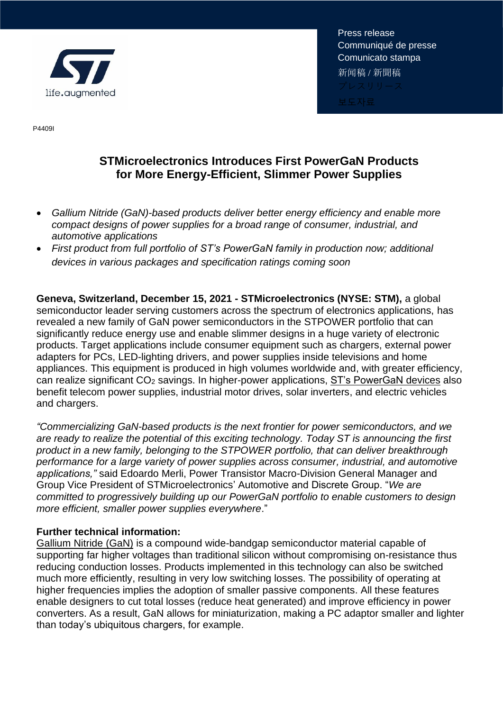

Press release Communiqué de presse Comunicato stampa 新闻稿 / 新聞稿

P4409I

## **STMicroelectronics Introduces First PowerGaN Products for More Energy-Efficient, Slimmer Power Supplies**

- *Gallium Nitride (GaN)-based products deliver better energy efficiency and enable more compact designs of power supplies for a broad range of consumer, industrial, and automotive applications*
- *First product from full portfolio of ST's PowerGaN family in production now; additional devices in various packages and specification ratings coming soon*

**Geneva, Switzerland, December 15, 2021 - STMicroelectronics (NYSE: STM),** a global semiconductor leader serving customers across the spectrum of electronics applications, has revealed a new family of GaN power semiconductors in the STPOWER portfolio that can significantly reduce energy use and enable slimmer designs in a huge variety of electronic products. Target applications include consumer equipment such as chargers, external power adapters for PCs, LED-lighting drivers, and power supplies inside televisions and home appliances. This equipment is produced in high volumes worldwide and, with greater efficiency, can realize significant CO<sup>2</sup> savings. In higher-power applications, [ST's PowerGaN devices](https://www.st.com/en/power-transistors/stpower-gan-transistors.html?icmp=tt24549_gl_pron_dec2021) also benefit telecom power supplies, industrial motor drives, solar inverters, and electric vehicles and chargers.

*"Commercializing GaN-based products is the next frontier for power semiconductors, and we are ready to realize the potential of this exciting technology. Today ST is announcing the first product in a new family, belonging to the STPOWER portfolio, that can deliver breakthrough performance for a large variety of power supplies across consumer, industrial, and automotive applications,"* said Edoardo Merli, Power Transistor Macro-Division General Manager and Group Vice President of STMicroelectronics' Automotive and Discrete Group. "*We are committed to progressively building up our PowerGaN portfolio to enable customers to design more efficient, smaller power supplies everywhere*."

## **Further technical information:**

[Gallium Nitride \(GaN\)](https://www.st.com/content/st_com/en/about/innovation---technology/GaN.html?icmp=tt24549_gl_pron_dec2021) is a compound wide-bandgap semiconductor material capable of supporting far higher voltages than traditional silicon without compromising on-resistance thus reducing conduction losses. Products implemented in this technology can also be switched much more efficiently, resulting in very low switching losses. The possibility of operating at higher frequencies implies the adoption of smaller passive components. All these features enable designers to cut total losses (reduce heat generated) and improve efficiency in power converters. As a result, GaN allows for miniaturization, making a PC adaptor smaller and lighter than today's ubiquitous chargers, for example.